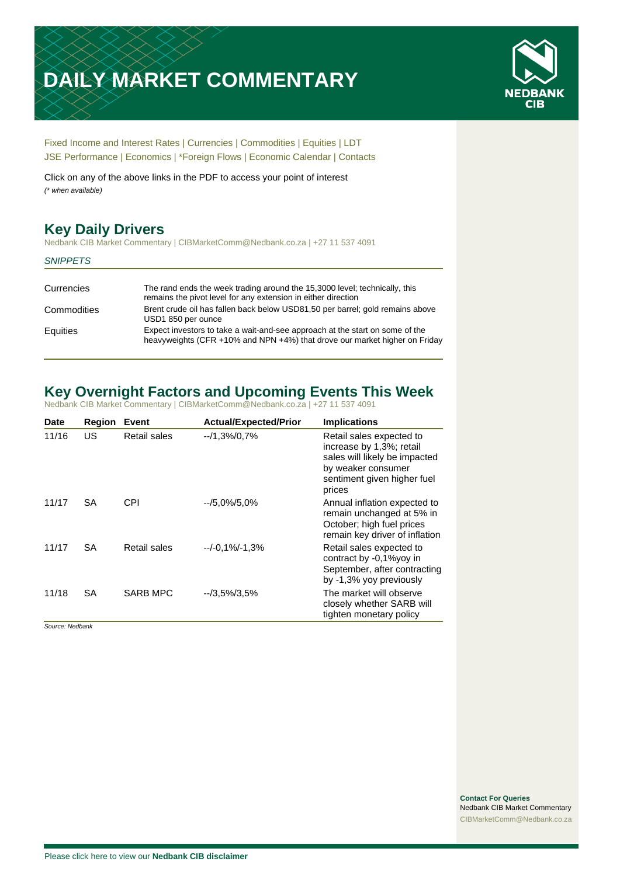# **DAILY MARKET COMMENTARY**



[Fixed Income and Interest Rates](#page-1-0) | [Currencies](#page-2-0) | [Commodities](#page-3-0) [| Equities](#page-4-0) | [LDT](#page-5-0) [JSE Performance](#page-6-0) [| Economics](#page-7-0) | [\\*Foreign Flows](#page-7-0) | [Economic Calendar](#page-7-0) | [Contacts](#page-8-0)

Click on any of the above links in the PDF to access your point of interest *(\* when available)*

# **Key Daily Drivers**

Nedbank CIB Market Commentary | CIBMarketComm@Nedbank.co.za | +27 11 537 4091

#### *SNIPPETS*

| Currencies  | The rand ends the week trading around the 15,3000 level; technically, this<br>remains the pivot level for any extension in either direction                |
|-------------|------------------------------------------------------------------------------------------------------------------------------------------------------------|
| Commodities | Brent crude oil has fallen back below USD81,50 per barrel; gold remains above<br>USD1 850 per ounce                                                        |
| Equities    | Expect investors to take a wait-and-see approach at the start on some of the<br>heavyweights (CFR +10% and NPN +4%) that drove our market higher on Friday |

# **Key Overnight Factors and Upcoming Events This Week**

Nedbank CIB Market Commentary | CIBMarketComm@Nedbank.co.za | +27 11 537 4091

| <b>Date</b> | <b>Region</b> | Event        | <b>Actual/Expected/Prior</b> | <b>Implications</b>                                                                                                                                  |
|-------------|---------------|--------------|------------------------------|------------------------------------------------------------------------------------------------------------------------------------------------------|
| 11/16       | US            | Retail sales | $-1,3\%/0,7\%$               | Retail sales expected to<br>increase by 1,3%; retail<br>sales will likely be impacted<br>by weaker consumer<br>sentiment given higher fuel<br>prices |
| 11/17       | SA            | CPI          | $-15.0\%/5.0\%$              | Annual inflation expected to<br>remain unchanged at 5% in<br>October; high fuel prices<br>remain key driver of inflation                             |
| 11/17       | SA            | Retail sales | $-/-0.1\%/ -1.3\%$           | Retail sales expected to<br>contract by -0,1%yoy in<br>September, after contracting<br>by -1,3% yoy previously                                       |
| 11/18       | <b>SA</b>     | SARB MPC     | $-73.5\%/3.5\%$              | The market will observe<br>closely whether SARB will<br>tighten monetary policy                                                                      |

*Source: Nedbank*

**Contact For Queries** Nedbank CIB Market Commentary [CIBMarketComm@Nedbank.co.za](file:///C:/Users/Paul-Rose/AppData/Roaming/Bluecurve/templates/CIBMarketComm@Nedbank.co.za)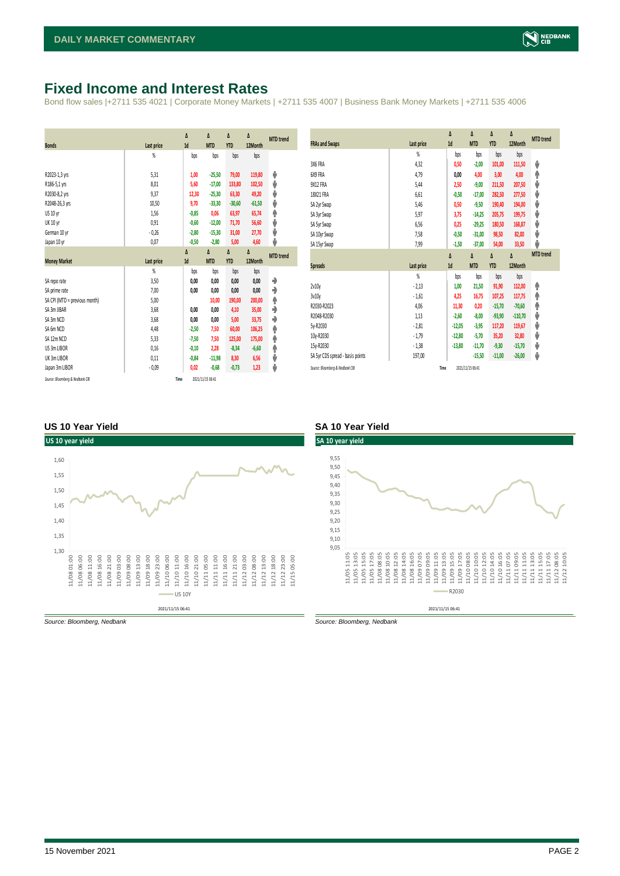### <span id="page-1-0"></span>**Fixed Income and Interest Rates**

Bond flow sales |+2711 535 4021 | Corporate Money Markets | +2711 535 4007 | Business Bank Money Markets | +2711 535 4006

| <b>Bonds</b>                  | Last price     | Δ<br>1d | Δ<br><b>MTD</b> | Δ<br><b>YTD</b> | Δ<br>12Month | <b>MTD</b> trend |
|-------------------------------|----------------|---------|-----------------|-----------------|--------------|------------------|
|                               | $\frac{9}{20}$ | bps     | bps             | bps             | bps          |                  |
| R2023-1,3 yrs                 | 5,31           | 1,00    | $-25,50$        | 79,00           | 119,80       | ψ                |
| R186-5,1 yrs                  | 8.01           | 5,60    | $-17,00$        | 133,80          | 102,50       | ψ                |
| R2030-8,2 yrs                 | 9,37           | 12,30   | $-25,30$        | 63,30           | 49,20        | ψ                |
| R2048-26,3 yrs                | 10,50          | 9,70    | $-33,30$        | $-30,60$        | $-61,50$     | ψ                |
| US 10 yr                      | 1,56           | $-0,85$ | 0,06            | 63,97           | 65,74        | φ                |
| <b>UK 10 yr</b>               | 0,91           | $-0,60$ | $-12,00$        | 71,70           | 56,60        | ψ                |
| German 10 yr                  | $-0,26$        | $-2,80$ | $-15,30$        | 31,00           | 27,70        | ψ                |
| Japan 10 yr                   | 0,07           | $-0,50$ | $-2,80$         | 5,00            | 4,60         | ψ                |
|                               |                | Δ       | Δ               | Δ               | Δ            | <b>MTD</b> trend |
|                               |                |         |                 |                 |              |                  |
| <b>Money Market</b>           | Last price     | 1d      | <b>MTD</b>      | <b>YTD</b>      | 12Month      |                  |
|                               | $\frac{9}{20}$ | bps     | bps             | bps             | bps          |                  |
| SA repo rate                  | 3,50           | 0,00    | 0,00            | 0,00            | 0,00         | ۰                |
| SA prime rate                 | 7,00           | 0,00    | 0,00            | 0,00            | 0,00         | ♦                |
| SA CPI (MTD = previous month) | 5,00           |         | 10,00           | 190,00          | 200,00       | ۸                |
| SA 3m JIBAR                   | 3,68           | 0,00    | 0,00            | 4,10            | 35,00        | ٠                |
| SA 3m NCD                     | 3,68           | 0,00    | 0,00            | 5,00            | 33,75        | ۰                |
| SA 6m NCD                     | 4,48           | $-2,50$ | 7,50            | 60,00           | 106,25       | ۸                |
| SA 12m NCD                    | 5.33           | $-7,50$ | 7,50            | 125,00          | 175,00       | ۸                |
| US 3m LIBOR                   | 0,16           | $-0,10$ | 2,28            | $-8,34$         | $-6,60$      | φ                |
| UK 3m LIBOR                   | 0,11           | $-0,84$ | $-11,98$        | 8,30            | 6,56         | ψ                |
| Japan 3m LIBOR                | $-0.09$        | 0,02    | $-0,68$         | $-0,73$         | 1,23         | ψ                |

| <b>FRAs and Swaps</b>            | Last price | Δ<br>1d  | Δ<br><b>MTD</b> | Δ<br><b>YTD</b> | Δ<br>12Month | <b>MTD</b> trend |
|----------------------------------|------------|----------|-----------------|-----------------|--------------|------------------|
|                                  | %          | bps      | bps             | bps             | bps          |                  |
| 3X6 FRA                          | 4,32       | 0,50     | $-2,00$         | 101,00          | 111,50       | ψ                |
| 6X9 FRA                          | 4,79       | 0,00     | 4,00            | 3,00            | 4,00         | ٨                |
| <b>9X12 FRA</b>                  | 5,44       | 2,50     | $-9,00$         | 211,50          | 207,50       | ψ                |
| 18X21 FRA                        | 6,61       | $-0,50$  | $-17,00$        | 282,50          | 277,50       | ψ                |
| SA 2yr Swap                      | 5,46       | 0,50     | $-9,50$         | 190,40          | 194,00       | ψ                |
| SA 3yr Swap                      | 5,97       | 3,75     | $-14,25$        | 205,75          | 199,75       | ψ                |
| SA 5yr Swap                      | 6,56       | 0,25     | $-29,25$        | 180,50          | 168,87       | V                |
| SA 10yr Swap                     | 7,58       | $-0,50$  | $-31,00$        | 98,50           | 82,00        | ψ                |
| SA 15yr Swap                     | 7,99       | $-1,50$  | $-37,00$        | 54,00           | 33,50        | J                |
|                                  |            |          |                 |                 |              |                  |
|                                  |            | Δ        | Δ               | Δ               | Δ            | <b>MTD</b> trend |
| <b>Spreads</b>                   | Last price | 1d       | <b>MTD</b>      | <b>YTD</b>      | 12Month      |                  |
|                                  | %          | bps      | bps             | bps             | bps          |                  |
| 2v10v                            | $-2,13$    | 1,00     | 21,50           | 91,90           | 112,00       | ۸                |
|                                  | $-1,61$    | 4,25     | 16,75           | 107,25          | 117,75       | ٨                |
| 3v10y<br>R2030-R2023             | 4,06       | 11,30    | 0,20            | $-15,70$        | $-70,60$     | φ                |
| R2048-R2030                      | 1,13       | $-2,60$  | $-8,00$         | $-93,90$        | $-110,70$    | ψ                |
| 5y-R2030                         | $-2,81$    | $-12,05$ | $-3,95$         | 117,20          | 119,67       | ψ                |
| 10y-R2030                        | $-1,79$    | $-12,80$ | $-5,70$         | 35,20           | 32,80        | ψ                |
| 15y-R2030                        | $-1,38$    | $-13,80$ | $-11,70$        | $-9,30$         | $-15,70$     | ψ                |
| SA 5yr CDS spread - basis points | 197,00     |          | $-15,50$        | $-11,00$        | $-26,00$     | ψ                |

#### **US 10 Year Yield SA 10 Year Yield**



*Source: Bloomberg, Nedbank Source: Bloomberg, Nedbank*

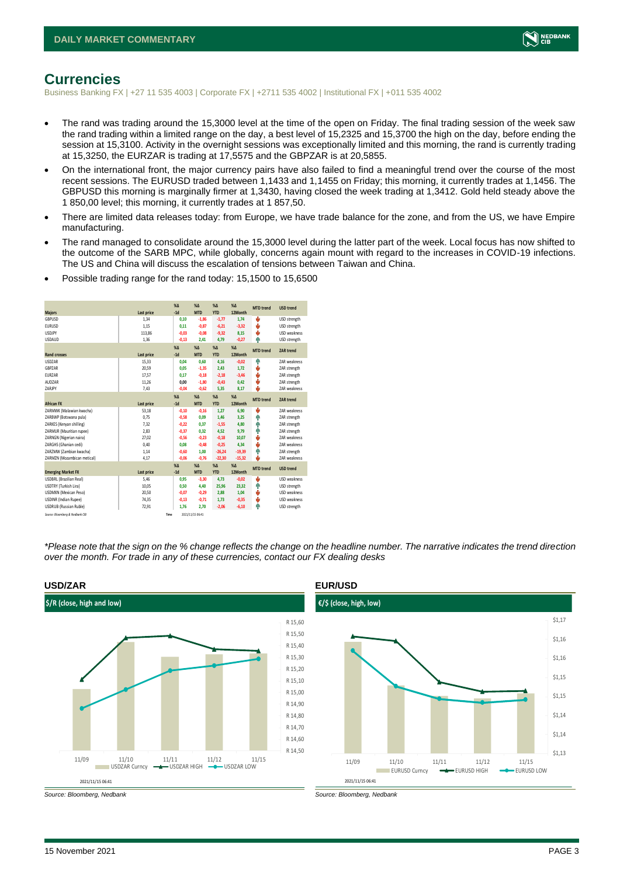

### <span id="page-2-0"></span>**Currencies**

Business Banking FX | +27 11 535 4003 | Corporate FX | +2711 535 4002 | Institutional FX | +011 535 4002

- The rand was trading around the 15,3000 level at the time of the open on Friday. The final trading session of the week saw the rand trading within a limited range on the day, a best level of 15,2325 and 15,3700 the high on the day, before ending the session at 15,3100. Activity in the overnight sessions was exceptionally limited and this morning, the rand is currently trading at 15,3250, the EURZAR is trading at 17,5575 and the GBPZAR is at 20,5855.
- On the international front, the major currency pairs have also failed to find a meaningful trend over the course of the most recent sessions. The EURUSD traded between 1,1433 and 1,1455 on Friday; this morning, it currently trades at 1,1456. The GBPUSD this morning is marginally firmer at 1,3430, having closed the week trading at 1,3412. Gold held steady above the 1 850,00 level; this morning, it currently trades at 1 857,50.
- There are limited data releases today: from Europe, we have trade balance for the zone, and from the US, we have Empire manufacturing.
- The rand managed to consolidate around the 15,3000 level during the latter part of the week. Local focus has now shifted to the outcome of the SARB MPC, while globally, concerns again mount with regard to the increases in COVID-19 infections. The US and China will discuss the escalation of tensions between Taiwan and China.
- Possible trading range for the rand today: 15,1500 to 15,6500

|                                 |            | $X\Delta$      | $X\Delta$        | $% \Delta$     | $% \Delta$  | <b>MTD</b> trend | <b>USD trend</b>    |
|---------------------------------|------------|----------------|------------------|----------------|-------------|------------------|---------------------|
| <b>Majors</b>                   | Last price | $-1d$          | <b>MTD</b>       | <b>YTD</b>     | 12Month     |                  |                     |
| GBPUSD                          | 1,34       | 0,10           | $-1,86$          | $-1,77$        | 1,74        | J                | USD strength        |
| <b>EURUSD</b>                   | 1.15       | 0.11           | $-0.87$          | $-6,21$        | $-3,32$     | J                | USD strength        |
| <b>USDJPY</b>                   | 113,86     | $-0,03$        | $-0,08$          | $-9,32$        | 8,15        | ÷                | <b>USD weakness</b> |
| <b>USDAUD</b>                   | 1,36       | $-0,13$        | 2.41             | 4,79           | $-0,27$     | Φ                | USD strength        |
|                                 |            | X <sub>A</sub> | X <sub>A</sub>   | $\%$ $\Lambda$ | $% \Delta$  | <b>MTD</b> trend | <b>ZAR trend</b>    |
| <b>Rand crosses</b>             | Last price | $-1d$          | <b>MTD</b>       | <b>YTD</b>     | 12Month     |                  |                     |
| <b>USDZAR</b>                   | 15.33      | 0.04           | 0.60             | 4.16           | $-0.02$     | ٠                | ZAR weakness        |
| GBPZAR                          | 20,59      | 0.05           | $-1,35$          | 2,43           | 1,72        | v                | ZAR strength        |
| EURZAR                          | 17,57      | 0.17           | $-0,18$          | $-2,18$        | $-3,46$     | v                | ZAR strength        |
| AUDZAR                          | 11,26      | 0.00           | $-1.80$          | $-0,43$        | 0.42        | J                | ZAR strength        |
| ZARJPY                          | 7,43       | $-0,04$        | $-0,62$          | 5,35           | 8,17        | J.               | <b>7AR</b> weakness |
|                                 |            | $X\Delta$      | X <sub>A</sub>   | $% \Delta$     | $% \Lambda$ | <b>MTD</b> trend | ZAR trend           |
| <b>African FX</b>               | Last price | $-1d$          | <b>MTD</b>       | <b>YTD</b>     | 12Month     |                  |                     |
| ZARMWK (Malawian kwacha)        | 53,18      | $-0.10$        | $-0.16$          | 1,27           | 6,90        | J                | <b>7AR</b> weakness |
| ZARBWP (Botswana pula)          | 0,75       | $-0,58$        | 0,09             | 1,46           | 3,25        | ٠                | ZAR strength        |
| ZARKES (Kenyan shilling)        | 7.32       | $-0.22$        | 0.37             | $-1,55$        | 4.80        | ٠                | ZAR strength        |
| ZARMUR (Mauritian rupee)        | 2.83       | $-0,37$        | 0.32             | 4,52           | 9.79        | ٠                | ZAR strength        |
| ZARNGN (Nigerian naira)         | 27,02      | $-0,56$        | $-0,23$          | $-0,18$        | 10,07       | ÷                | ZAR weakness        |
| ZARGHS (Ghanian cedi)           | 0.40       | 0.08           | $-0.48$          | $-0.25$        | 4.34        | J                | <b>7AR</b> weakness |
| ZARZMW (Zambian kwacha)         | 1,14       | $-0,60$        | 1,00             | $-26,24$       | $-19,39$    | ٠                | ZAR strength        |
| ZARMZN (Mozambican metical)     | 4,17       | $-0.06$        | $-0.76$          | $-22,30$       | $-15,32$    | L                | ZAR weakness        |
|                                 |            | $X\Delta$      | X <sub>A</sub>   | $% \Delta$     | $% \Lambda$ | <b>MTD</b> trend | <b>USD trend</b>    |
| <b>Emerging Market FX</b>       | Last price | $-1d$          | <b>MTD</b>       | <b>YTD</b>     | 12Month     |                  |                     |
| <b>USDBRL (Brazilian Real)</b>  | 5,46       | 0.95           | $-3,30$          | 4,73           | $-0.02$     | ÷                | <b>USD</b> weakness |
| USDTRY (Turkish Lira)           | 10,05      | 0,50           | 4,40             | 25,96          | 23,32       | ٠                | USD strength        |
| USDMXN (Mexican Peso)           | 20,50      | $-0.07$        | $-0.29$          | 2,88           | 1.04        | ÷                | USD weakness        |
| <b>USDINR</b> (Indian Rupee)    | 74,35      | $-0,13$        | $-0,71$          | 1,73           | $-0,35$     | v                | <b>USD weakness</b> |
| <b>USDRUB</b> (Russian Ruble)   | 72,91      | 1,76           | 2,70             | $-2,06$        | $-6,10$     | ۸                | USD strength        |
| Source: Bloomberg & Nedbank CIB | Time       |                | 2021/11/15 06:41 |                |             |                  |                     |

*\*Please note that the sign on the % change reflects the change on the headline number. The narrative indicates the trend direction over the month. For trade in any of these currencies, contact our FX dealing desks*



*Source: Bloomberg, Nedbank Source: Bloomberg, Nedbank*



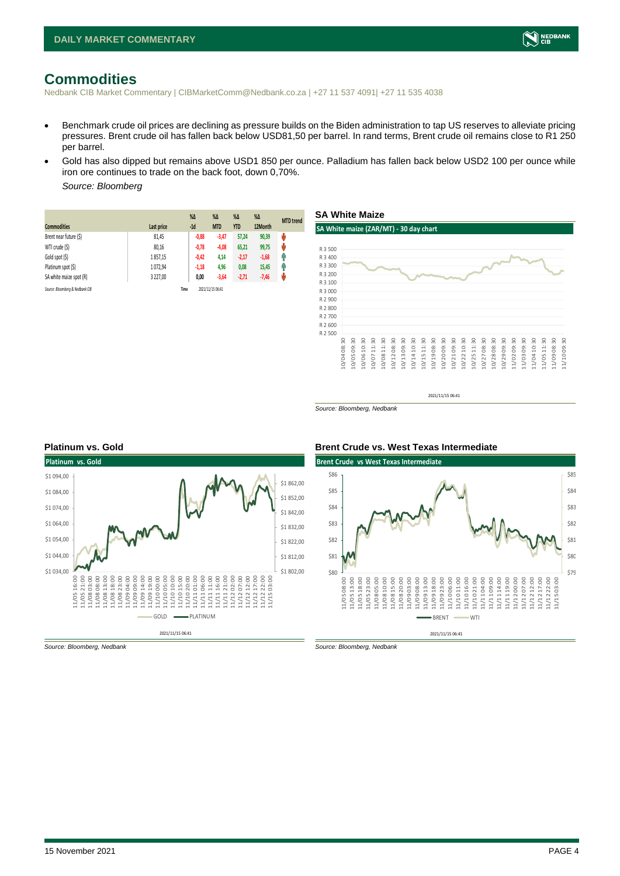

### <span id="page-3-0"></span>**Commodities**

Nedbank CIB Market Commentary | CIBMarketComm@Nedbank.co.za | +27 11 537 4091| +27 11 535 4038

- Benchmark crude oil prices are declining as pressure builds on the Biden administration to tap US reserves to alleviate pricing pressures. Brent crude oil has fallen back below USD81,50 per barrel. In rand terms, Brent crude oil remains close to R1 250 per barrel.
- Gold has also dipped but remains above USD1 850 per ounce. Palladium has fallen back below USD2 100 per ounce while iron ore continues to trade on the back foot, down 0,70%.

*Source: Bloomberg* 

|                                 |            | $%$ $\Delta$ | %Δ               | $%$ $\Delta$ | $\%$ $\Delta$ | <b>MTD</b> trend |
|---------------------------------|------------|--------------|------------------|--------------|---------------|------------------|
| <b>Commodities</b>              | Last price | $-1d$        | <b>MTD</b>       | <b>YTD</b>   | 12Month       |                  |
| Brent near future (\$)          | 81,45      | $-0,88$      | $-3,47$          | 57.24        | 90,39         | ψ                |
| WTI crude (\$)                  | 80,16      | $-0,78$      | $-4,08$          | 65,21        | 99,75         | ŵ                |
| Gold spot (\$)                  | 1857,15    | $-0,42$      | 4,14             | $-2,17$      | $-1,68$       | Ŵ                |
| Platinum spot (\$)              | 1072.94    | $-1,18$      | 4,96             | 0,08         | 15,45         | q,               |
| SA white maize spot (R)         | 3 227.00   | 0,00         | $-3,64$          | $-2,71$      | $-7,46$       | w                |
| Source: Bloomberg & Nedbank CIB |            | Time         | 2021/11/15 06:41 |              |               |                  |



*Source: Bloomberg, Nedbank*



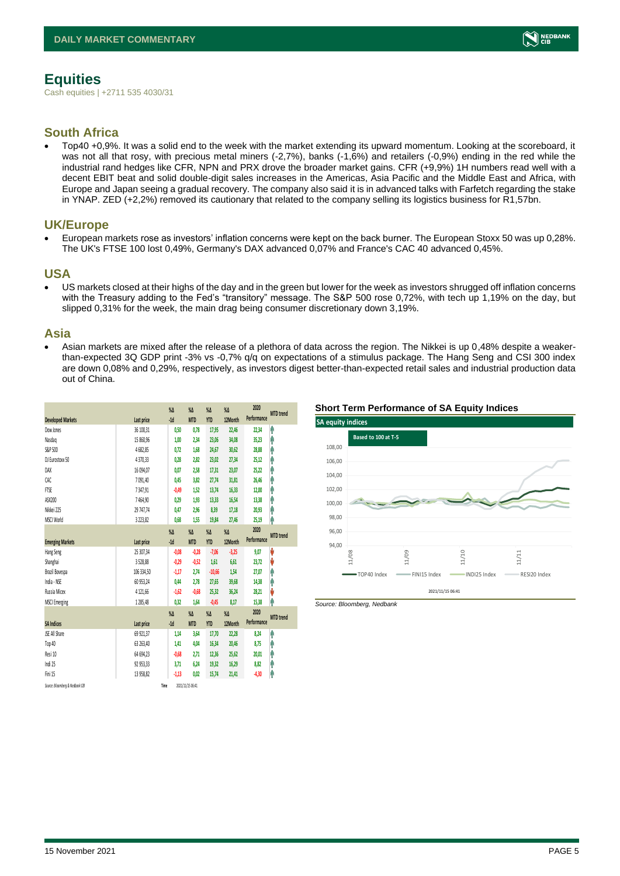

# <span id="page-4-0"></span>**Equities**

Cash equities | +2711 535 4030/31

#### **South Africa**

• Top40 +0,9%. It was a solid end to the week with the market extending its upward momentum. Looking at the scoreboard, it was not all that rosy, with precious metal miners (-2,7%), banks (-1,6%) and retailers (-0,9%) ending in the red while the industrial rand hedges like CFR, NPN and PRX drove the broader market gains. CFR (+9,9%) 1H numbers read well with a decent EBIT beat and solid double-digit sales increases in the Americas, Asia Pacific and the Middle East and Africa, with Europe and Japan seeing a gradual recovery. The company also said it is in advanced talks with Farfetch regarding the stake in YNAP. ZED (+2,2%) removed its cautionary that related to the company selling its logistics business for R1,57bn.

#### **UK/Europe**

• European markets rose as investors' inflation concerns were kept on the back burner. The European Stoxx 50 was up 0,28%. The UK's FTSE 100 lost 0,49%, Germany's DAX advanced 0,07% and France's CAC 40 advanced 0,45%.

#### **USA**

• US markets closed at their highs of the day and in the green but lower for the week as investors shrugged off inflation concerns with the Treasury adding to the Fed's "transitory" message. The S&P 500 rose 0,72%, with tech up 1,19% on the day, but slipped 0,31% for the week, the main drag being consumer discretionary down 3,19%.

#### **Asia**

• Asian markets are mixed after the release of a plethora of data across the region. The Nikkei is up 0,48% despite a weakerthan-expected 3Q GDP print -3% vs -0,7% q/q on expectations of a stimulus package. The Hang Seng and CSI 300 index are down 0,08% and 0,29%, respectively, as investors digest better-than-expected retail sales and industrial production data out of China.

|                                 |              | $\%$ $\Delta$ | $\%$ $\Delta$    | $\%$ $\Delta$ | $\%$ $\Delta$ | 2020<br>Performance | <b>MTD</b> trend |
|---------------------------------|--------------|---------------|------------------|---------------|---------------|---------------------|------------------|
| <b>Developed Markets</b>        | Last price   | $-1d$         | <b>MTD</b>       | <b>YTD</b>    | 12Month       |                     |                  |
| Dow Jones                       | 36 100.31    | 0,50          | 0,78             | 17,95         | 22,46         | 22,34               | ٨                |
| Nasdaq                          | 15 860,96    | 1,00          | 2,34             | 23,06         | 34,08         | 35,23               | ٨                |
| S&P 500                         | 4682,85      | 0.72          | 1.68             | 24,67         | 30,62         | 28,88               | Α                |
| DJ Eurostoxx 50                 | 4370,33      | 0.28          | 2.82             | 23,02         | 27,34         | 25,12               | Ą                |
| DAX                             | 16 094.07    | 0.07          | 2.58             | 17,31         | 23,07         | 25,22               | ٨                |
| CAC                             | 7091,40      | 0,45          | 3,82             | 27,74         | 31,81         | 26,46               | Λ                |
| <b>FTSE</b>                     | 7347,91      | $-0.49$       | 1,52             | 13,74         | 16,33         | 12,00               | ٨                |
| ASX200                          | 7464,90      | 0,29          | 1,93             | 13,33         | 16,54         | 13,38               | Ą                |
| Nikkei 225                      | 29 747,74    | 0,47          | 2,96             | 8,39          | 17,18         | 20,93               | Α                |
| MSCI World                      | 3 2 2 3, 8 2 | 0,68          | 1,55             | 19,84         | 27,46         | 25,19               | ٨                |
|                                 |              | $\sqrt{2}$    | $\%$ $\Delta$    | $\%$ $\Delta$ | $\%$ $\Delta$ | 2020                | <b>MTD</b> trend |
| <b>Emerging Markets</b>         | Last price   | $-1d$         | <b>MTD</b>       | <b>YTD</b>    | 12Month       | Performance         |                  |
| Hang Seng                       | 25 307,34    | $-0,08$       | $-0,28$          | $-7,06$       | $-3,25$       | 9,07                | V                |
| Shanghai                        | 3528,88      | $-0,29$       | $-0,52$          | 1,61          | 6,61          | 23,72               | V                |
| Brazil Bovespa                  | 106 334,50   | $-1,17$       | 2.74             | $-10,66$      | 1,54          | 27,07               | Ą                |
| India - NSE                     | 60 953,24    | 0,44          | 2.78             | 27,65         | 39,68         | 14,38               | ٨                |
| Russia Micex                    | 4 1 2 1.66   | $-1,62$       | $-0.68$          | 25,32         | 36,24         | 28,21               | V                |
| <b>MSCI Emerging</b>            | 1285,48      | 0,32          | 1,64             | $-0,45$       | 8,17          | 15,38               | Λ                |
|                                 |              | $\%$          | $\%$ $\Delta$    | $\%$ $\Delta$ | $\%$ $\Delta$ | 2020                | <b>MTD</b> trend |
| <b>SA Indices</b>               | Last price   | $-1d$         | <b>MTD</b>       | <b>YTD</b>    | 12Month       | Performance         |                  |
| <b>ISE All Share</b>            | 69 921,37    | 1,14          | 3,64             | 17,70         | 22,28         | 8,24                | ٨                |
| Top 40                          | 63 263,40    | 1,41          | 4,04             | 16,34         | 20,46         | 8,75                | ⋒                |
| Resi 10                         | 64 694,23    | $-0,68$       | 2.71             | 12,36         | 25,62         | 20,01               | Α                |
| Indi 25                         | 92 953,33    | 3,71          | 6,24             | 19,32         | 16,29         | 8,82                | Ą                |
| Fini 15                         | 13 958,82    | $-1,13$       | 0,02             | 15,74         | 21,41         | $-4,30$             | ⋔                |
| Source: Bloomberg & Nedbank CIB |              | Time          | 2021/11/15 06:41 |               |               |                     |                  |

#### **Short Term Performance of SA Equity Indices**



*Source: Bloomberg, Nedbank*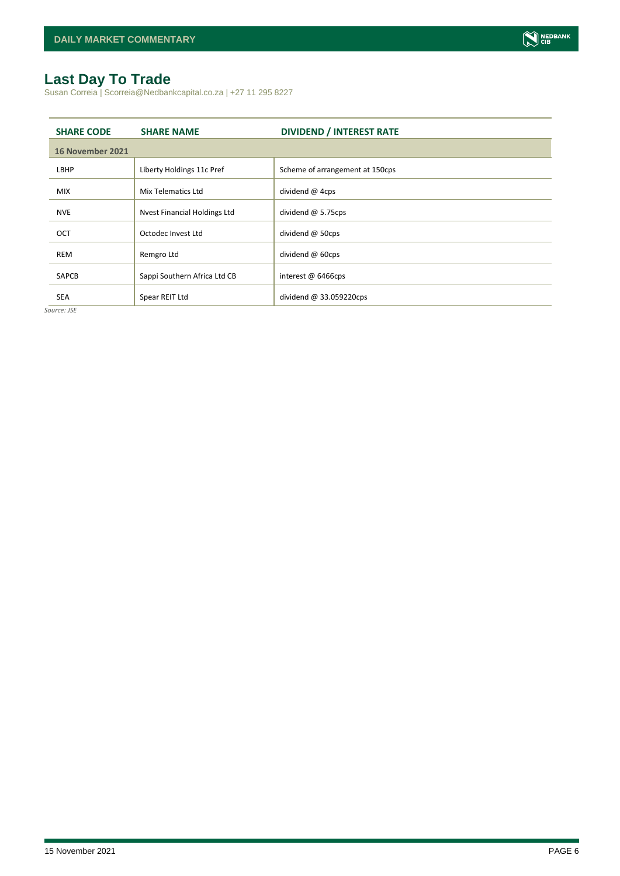# <span id="page-5-0"></span>**Last Day To Trade**

Susan Correia | Scorreia@Nedbankcapital.co.za | +27 11 295 8227

| <b>SHARE CODE</b> | <b>SHARE NAME</b>            | <b>DIVIDEND / INTEREST RATE</b> |
|-------------------|------------------------------|---------------------------------|
| 16 November 2021  |                              |                                 |
| LBHP              | Liberty Holdings 11c Pref    | Scheme of arrangement at 150cps |
| <b>MIX</b>        | Mix Telematics Ltd           | dividend @ 4cps                 |
| <b>NVE</b>        | Nvest Financial Holdings Ltd | dividend $@$ 5.75cps            |
| <b>OCT</b>        | Octodec Invest Ltd           | dividend @ 50cps                |
| <b>REM</b>        | Remgro Ltd                   | dividend @ 60cps                |
| <b>SAPCB</b>      | Sappi Southern Africa Ltd CB | interest @ 6466cps              |
| <b>SEA</b>        | Spear REIT Ltd               | dividend @ 33.059220cps         |

*Source: JSE*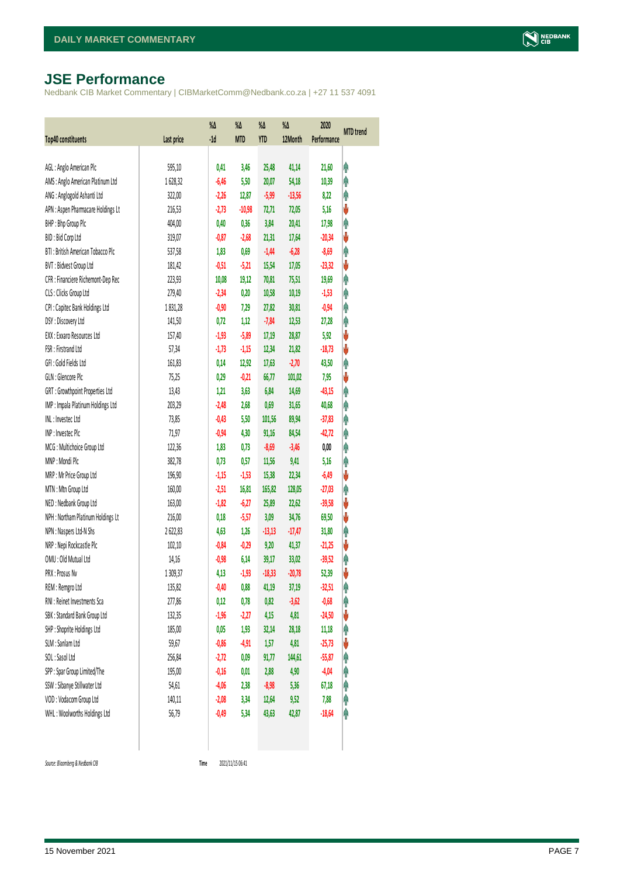# <span id="page-6-0"></span>**JSE Performance**

Nedbank CIB Market Commentary | CIBMarketComm@Nedbank.co.za | +27 11 537 4091

| <b>Top40 constituents</b>          | Last price | $\%$<br>$-1d$ | %Δ<br><b>MTD</b> | %Δ<br><b>YTD</b> | %Δ<br>12Month | 2020<br>Performance | <b>MTD</b> trend |
|------------------------------------|------------|---------------|------------------|------------------|---------------|---------------------|------------------|
|                                    |            |               |                  |                  |               |                     |                  |
| AGL: Anglo American Plc            | 595,10     | 0,41          | 3,46             | 25,48            | 41,14         | 21,60               | φ                |
| AMS: Anglo American Platinum Ltd   | 1628,32    | $-6,46$       | 5,50             | 20,07            | 54,18         | 10,39               | φ                |
| ANG: Anglogold Ashanti Ltd         | 322,00     | $-2,26$       | 12,87            | $-5,99$          | $-13,56$      | 8,22                | φ                |
| APN : Aspen Pharmacare Holdings Lt | 216,53     | $-2,73$       | $-10,98$         | 72,71            | 72,05         | 5,16                | V                |
| BHP: Bhp Group Plc                 | 404,00     | 0,40          | 0,36             | 3,84             | 20,41         | 17,98               | Ą                |
| BID: Bid Corp Ltd                  | 319,07     | $-0,87$       | $-2,68$          | 21,31            | 17,64         | $-20,34$            | ψ                |
| BTI: British American Tobacco Plc  | 537,58     | 1,83          | 0,69             | $-1,44$          | $-6,28$       | $-8,69$             | φ                |
| BVT: Bidvest Group Ltd             | 181,42     | $-0,51$       | $-5,21$          | 15,54            | 17,05         | $-23,32$            | V                |
| CFR : Financiere Richemont-Dep Rec | 223,93     | 10,08         | 19,12            | 70,81            | 75,51         | 19,69               | φ                |
| CLS : Clicks Group Ltd             | 279,40     | $-2,34$       | 0,20             | 10,58            | 10,19         | $-1,53$             | φ                |
| CPI : Capitec Bank Holdings Ltd    | 1831,28    | $-0,90$       | 7,29             | 27,82            | 30,81         | $-0,94$             | φ                |
| DSY: Discovery Ltd                 | 141,50     | 0,72          | 1,12             | $-7,84$          | 12,53         | 27,28               | φ                |
| EXX: Exxaro Resources Ltd          | 157,40     | $-1,93$       | $-5,89$          | 17,19            | 28,87         | 5,92                | V                |
| FSR: Firstrand Ltd                 | 57,34      | $-1,73$       | $-1,15$          | 12,34            | 21,82         | $-18,73$            | ψ                |
| GFI: Gold Fields Ltd               | 161,83     | 0,14          | 12,92            | 17,63            | $-2,70$       | 43,50               | φ                |
| GLN : Glencore Plc                 | 75,25      | 0,29          | $-0,21$          | 66,77            | 101,02        | 7,95                | ψ                |
| GRT : Growthpoint Properties Ltd   | 13,43      | 1,21          | 3,63             | 6,84             | 14,69         | $-43,15$            | Ą                |
| IMP : Impala Platinum Holdings Ltd | 203,29     | $-2,48$       | 2,68             | 0,69             | 31,65         | 40,68               | φ                |
| INL: Investec Ltd                  | 73,85      | $-0,43$       | 5,50             | 101,56           | 89,94         | $-37,83$            | Λ                |
| INP: Invested Plc                  | 71,97      | $-0,94$       | 4,30             | 91,16            | 84,54         | $-42,72$            | φ                |
| MCG: Multichoice Group Ltd         | 122,36     | 1,83          | 0,73             | $-8,69$          | $-3,46$       | 0,00                | φ                |
| MNP: Mondi Plc                     | 382,78     | 0,73          | 0,57             | 11,56            | 9,41          | 5,16                | φ                |
| MRP : Mr Price Group Ltd           | 196,90     | $-1,15$       | $-1,53$          | 15,38            | 22,34         | $-6,49$             | ψ                |
| MTN: Mtn Group Ltd                 | 160,00     | $-2,51$       | 16,81            | 165,82           | 128,05        | $-27,03$            | φ                |
| NED : Nedbank Group Ltd            | 163,00     | $-1,82$       | $-6,27$          | 25,89            | 22,62         | $-39,58$            | ψ                |
| NPH : Northam Platinum Holdings Lt | 216,00     | 0,18          | $-5,57$          | 3,09             | 34,76         | 69,50               | ψ                |
| NPN : Naspers Ltd-N Shs            | 2622,83    | 4,63          | 1,26             | $-13,13$         | $-17,47$      | 31,80               | φ                |
| NRP : Nepi Rockcastle Plc          | 102,10     | $-0,84$       | $-0,29$          | 9,20             | 41,37         | $-21,25$            | V                |
| OMU: Old Mutual Ltd                | 14,16      | $-0,98$       | 6,14             | 39,17            | 33,02         | $-39,52$            | φ                |
| PRX: Prosus Nv                     | 1309,37    | 4,13          | $-1,93$          | $-18,33$         | $-20,78$      | 52,39               | V                |
| REM : Remgro Ltd                   | 135,82     | $-0,40$       | 0,88             | 41,19            | 37,19         | $-32,51$            | Ĥ                |
| RNI : Reinet Investments Sca       | 277,86     | 0,12          | 0,78             | 0,82             | $-3,62$       | $-0,68$             | φ                |
| SBK: Standard Bank Group Ltd       | 132,35     | $-1,96$       | $-2,27$          | 4,15             | 4,81          | $-24,50$            | ψ                |
| SHP: Shoprite Holdings Ltd         | 185,00     | 0,05          | 1,93             | 32,14            | 28,18         | 11,18               | φ                |
| SLM : Sanlam Ltd                   | 59,67      | $-0,86$       | $-4,91$          | 1,57             | 4,81          | $-25,73$            | ψ                |
| SOL: Sasol Ltd                     | 256,84     | $-2, 72$      | 0,09             | 91,77            | 144,61        | $-55,87$            | Ĥ                |
| SPP: Spar Group Limited/The        | 195,00     | $-0,16$       | 0,01             | 2,88             | 4,90          | $-4,04$             | Ĥ                |
| SSW : Sibanye Stillwater Ltd       | 54,61      | $-4,06$       | 2,38             | $-8,98$          | 5,36          | 67,18               | φ                |
| VOD: Vodacom Group Ltd             | 140,11     | $-2,08$       | 3,34             | 12,64            | 9,52          | 7,88                | φ                |
| WHL: Woolworths Holdings Ltd       | 56,79      | $-0,49$       | 5,34             | 43,63            | 42,87         | $-18,64$            | φ                |
|                                    |            |               |                  |                  |               |                     |                  |

 $Source: Bloomberg & Nedbank *CB*$ 

Time 2021/11/15 06:41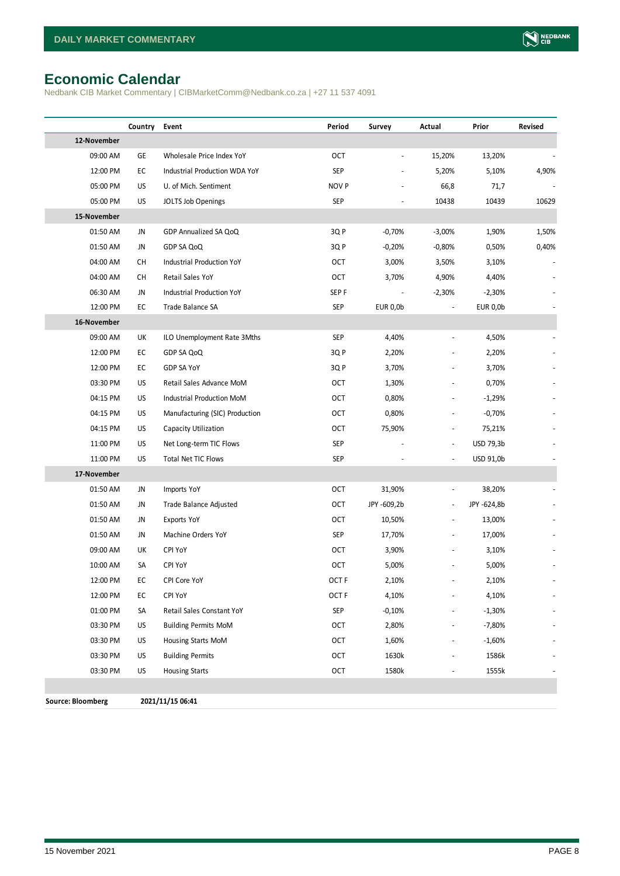# <span id="page-7-0"></span>**Economic Calendar**

Nedbank CIB Market Commentary | CIBMarketComm@Nedbank.co.za | +27 11 537 4091

|                          | Country | Event                          | Period           | Survey         | Actual                   | Prior       | Revised |
|--------------------------|---------|--------------------------------|------------------|----------------|--------------------------|-------------|---------|
| 12-November              |         |                                |                  |                |                          |             |         |
| 09:00 AM                 | GE      | Wholesale Price Index YoY      | OCT              | $\blacksquare$ | 15,20%                   | 13,20%      |         |
| 12:00 PM                 | EC      | Industrial Production WDA YoY  | SEP              |                | 5,20%                    | 5,10%       | 4,90%   |
| 05:00 PM                 | US      | U. of Mich. Sentiment          | NOV P            |                | 66,8                     | 71,7        |         |
| 05:00 PM                 | US      | JOLTS Job Openings             | <b>SEP</b>       |                | 10438                    | 10439       | 10629   |
| 15-November              |         |                                |                  |                |                          |             |         |
| 01:50 AM                 | JN      | GDP Annualized SA QoQ          | 3Q P             | $-0,70%$       | $-3,00%$                 | 1,90%       | 1,50%   |
| 01:50 AM                 | JN      | GDP SA QoQ                     | 3QP              | $-0,20%$       | $-0,80%$                 | 0,50%       | 0,40%   |
| 04:00 AM                 | СH      | Industrial Production YoY      | OCT              | 3,00%          | 3,50%                    | 3,10%       |         |
| 04:00 AM                 | CH      | Retail Sales YoY               | OCT              | 3,70%          | 4,90%                    | 4,40%       |         |
| 06:30 AM                 | JN      | Industrial Production YoY      | SEP F            |                | $-2,30%$                 | $-2,30%$    |         |
| 12:00 PM                 | EC      | Trade Balance SA               | <b>SEP</b>       | EUR 0,0b       | $\overline{\phantom{a}}$ | EUR 0,0b    |         |
| 16-November              |         |                                |                  |                |                          |             |         |
| 09:00 AM                 | UK      | ILO Unemployment Rate 3Mths    | <b>SEP</b>       | 4,40%          |                          | 4,50%       |         |
| 12:00 PM                 | EC      | GDP SA QoQ                     | 3QP              | 2,20%          |                          | 2,20%       |         |
| 12:00 PM                 | EC      | GDP SA YoY                     | 3Q P             | 3,70%          |                          | 3,70%       |         |
| 03:30 PM                 | US      | Retail Sales Advance MoM       | OCT              | 1,30%          |                          | 0,70%       |         |
| 04:15 PM                 | US      | Industrial Production MoM      | <b>OCT</b>       | 0,80%          | $\overline{\phantom{m}}$ | $-1,29%$    |         |
| 04:15 PM                 | US      | Manufacturing (SIC) Production | OCT              | 0,80%          | $\overline{a}$           | $-0,70%$    |         |
| 04:15 PM                 | US      | Capacity Utilization           | OCT              | 75,90%         | $\frac{1}{2}$            | 75,21%      |         |
| 11:00 PM                 | US      | Net Long-term TIC Flows        | <b>SEP</b>       |                | $\overline{\phantom{a}}$ | USD 79,3b   |         |
| 11:00 PM                 | US      | Total Net TIC Flows            | <b>SEP</b>       |                | $\overline{\phantom{a}}$ | USD 91,0b   |         |
| 17-November              |         |                                |                  |                |                          |             |         |
| 01:50 AM                 | JN      | Imports YoY                    | OCT              | 31,90%         | $\overline{a}$           | 38,20%      |         |
| 01:50 AM                 | JN      | Trade Balance Adjusted         | <b>OCT</b>       | JPY -609,2b    | $\overline{\phantom{a}}$ | JPY -624,8b |         |
| 01:50 AM                 | JN      | <b>Exports YoY</b>             | OCT              | 10,50%         | $\overline{\phantom{a}}$ | 13,00%      |         |
| 01:50 AM                 | JN      | Machine Orders YoY             | <b>SEP</b>       | 17,70%         | $\overline{\phantom{a}}$ | 17,00%      |         |
| 09:00 AM                 | UK      | CPI YoY                        | <b>OCT</b>       | 3,90%          |                          | 3,10%       |         |
| 10:00 AM                 | SA      | CPI YoY                        | <b>OCT</b>       | 5,00%          |                          | 5,00%       |         |
| 12:00 PM                 | EC      | CPI Core YoY                   | OCT <sub>F</sub> | 2,10%          |                          | 2,10%       |         |
| 12:00 PM                 | EC      | CPI YoY                        | OCT <sub>F</sub> | 4,10%          |                          | 4,10%       |         |
| 01:00 PM                 | SA      | Retail Sales Constant YoY      | SEP              | $-0,10%$       |                          | $-1,30%$    |         |
| 03:30 PM                 | US      | <b>Building Permits MoM</b>    | OCT              | 2,80%          |                          | -7,80%      |         |
| 03:30 PM                 | US      | Housing Starts MoM             | OCT              | 1,60%          |                          | $-1,60%$    |         |
| 03:30 PM                 | US      | <b>Building Permits</b>        | OCT              | 1630k          |                          | 1586k       |         |
| 03:30 PM                 | US      | <b>Housing Starts</b>          | OCT              | 1580k          |                          | 1555k       |         |
|                          |         |                                |                  |                |                          |             |         |
| <b>Source: Bloomberg</b> |         | 2021/11/15 06:41               |                  |                |                          |             |         |